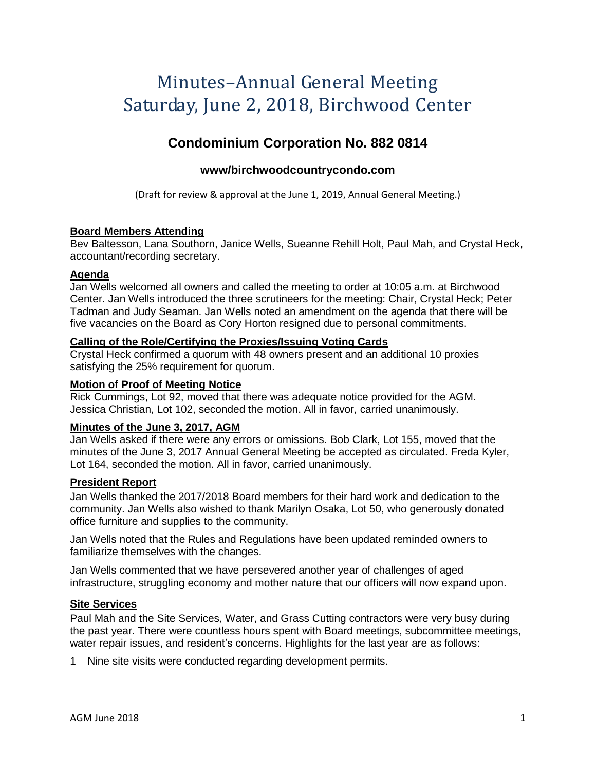# Minutes–Annual General Meeting Saturday, June 2, 2018, Birchwood Center

# **Condominium Corporation No. 882 0814**

# **www/birchwoodcountrycondo.com**

(Draft for review & approval at the June 1, 2019, Annual General Meeting.)

#### **Board Members Attending**

Bev Baltesson, Lana Southorn, Janice Wells, Sueanne Rehill Holt, Paul Mah, and Crystal Heck, accountant/recording secretary.

#### **Agenda**

Jan Wells welcomed all owners and called the meeting to order at 10:05 a.m. at Birchwood Center. Jan Wells introduced the three scrutineers for the meeting: Chair, Crystal Heck; Peter Tadman and Judy Seaman. Jan Wells noted an amendment on the agenda that there will be five vacancies on the Board as Cory Horton resigned due to personal commitments.

#### **Calling of the Role/Certifying the Proxies/Issuing Voting Cards**

Crystal Heck confirmed a quorum with 48 owners present and an additional 10 proxies satisfying the 25% requirement for quorum.

#### **Motion of Proof of Meeting Notice**

Rick Cummings, Lot 92, moved that there was adequate notice provided for the AGM. Jessica Christian, Lot 102, seconded the motion. All in favor, carried unanimously.

#### **Minutes of the June 3, 2017, AGM**

Jan Wells asked if there were any errors or omissions. Bob Clark, Lot 155, moved that the minutes of the June 3, 2017 Annual General Meeting be accepted as circulated. Freda Kyler, Lot 164, seconded the motion. All in favor, carried unanimously.

#### **President Report**

Jan Wells thanked the 2017/2018 Board members for their hard work and dedication to the community. Jan Wells also wished to thank Marilyn Osaka, Lot 50, who generously donated office furniture and supplies to the community.

Jan Wells noted that the Rules and Regulations have been updated reminded owners to familiarize themselves with the changes.

Jan Wells commented that we have persevered another year of challenges of aged infrastructure, struggling economy and mother nature that our officers will now expand upon.

#### **Site Services**

Paul Mah and the Site Services, Water, and Grass Cutting contractors were very busy during the past year. There were countless hours spent with Board meetings, subcommittee meetings, water repair issues, and resident's concerns. Highlights for the last year are as follows:

1 Nine site visits were conducted regarding development permits.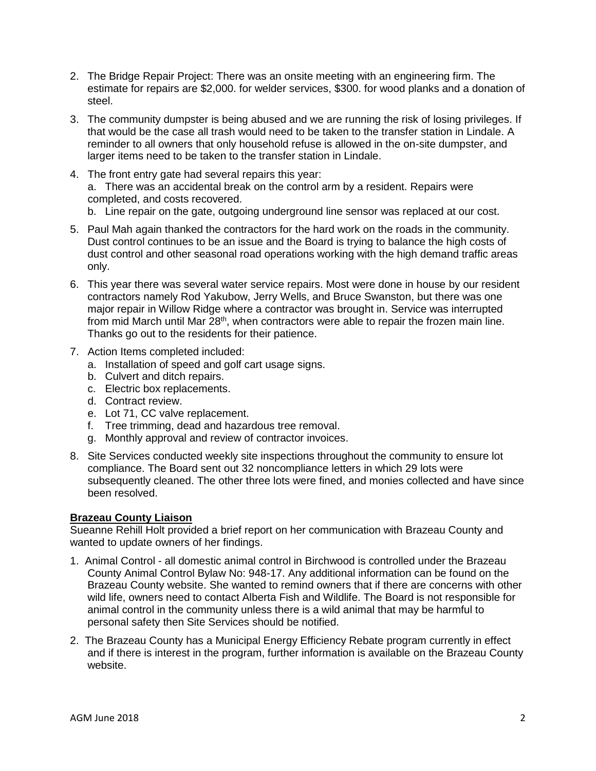- 2. The Bridge Repair Project: There was an onsite meeting with an engineering firm. The estimate for repairs are \$2,000. for welder services, \$300. for wood planks and a donation of steel.
- 3. The community dumpster is being abused and we are running the risk of losing privileges. If that would be the case all trash would need to be taken to the transfer station in Lindale. A reminder to all owners that only household refuse is allowed in the on-site dumpster, and larger items need to be taken to the transfer station in Lindale.
- 4. The front entry gate had several repairs this year: a. There was an accidental break on the control arm by a resident. Repairs were completed, and costs recovered.
	- b. Line repair on the gate, outgoing underground line sensor was replaced at our cost.
- 5. Paul Mah again thanked the contractors for the hard work on the roads in the community. Dust control continues to be an issue and the Board is trying to balance the high costs of dust control and other seasonal road operations working with the high demand traffic areas only.
- 6. This year there was several water service repairs. Most were done in house by our resident contractors namely Rod Yakubow, Jerry Wells, and Bruce Swanston, but there was one major repair in Willow Ridge where a contractor was brought in. Service was interrupted from mid March until Mar 28<sup>th</sup>, when contractors were able to repair the frozen main line. Thanks go out to the residents for their patience.
- 7. Action Items completed included:
	- a. Installation of speed and golf cart usage signs.
	- b. Culvert and ditch repairs.
	- c. Electric box replacements.
	- d. Contract review.
	- e. Lot 71, CC valve replacement.
	- f. Tree trimming, dead and hazardous tree removal.
	- g. Monthly approval and review of contractor invoices.
- 8. Site Services conducted weekly site inspections throughout the community to ensure lot compliance. The Board sent out 32 noncompliance letters in which 29 lots were subsequently cleaned. The other three lots were fined, and monies collected and have since been resolved.

# **Brazeau County Liaison**

Sueanne Rehill Holt provided a brief report on her communication with Brazeau County and wanted to update owners of her findings.

- 1. Animal Control all domestic animal control in Birchwood is controlled under the Brazeau County Animal Control Bylaw No: 948-17. Any additional information can be found on the Brazeau County website. She wanted to remind owners that if there are concerns with other wild life, owners need to contact Alberta Fish and Wildlife. The Board is not responsible for animal control in the community unless there is a wild animal that may be harmful to personal safety then Site Services should be notified.
- 2. The Brazeau County has a Municipal Energy Efficiency Rebate program currently in effect and if there is interest in the program, further information is available on the Brazeau County website.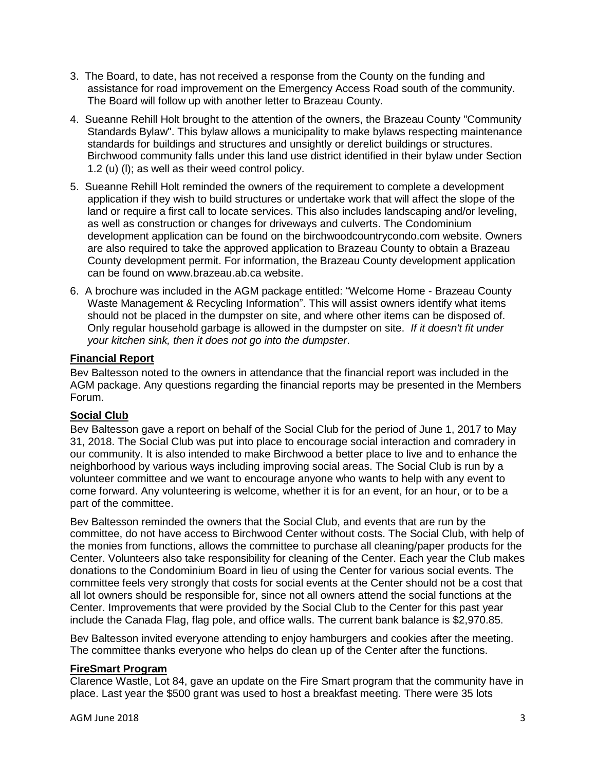- 3. The Board, to date, has not received a response from the County on the funding and assistance for road improvement on the Emergency Access Road south of the community. The Board will follow up with another letter to Brazeau County.
- 4. Sueanne Rehill Holt brought to the attention of the owners, the Brazeau County "Community Standards Bylaw". This bylaw allows a municipality to make bylaws respecting maintenance standards for buildings and structures and unsightly or derelict buildings or structures. Birchwood community falls under this land use district identified in their bylaw under Section 1.2 (u) (l); as well as their weed control policy.
- 5. Sueanne Rehill Holt reminded the owners of the requirement to complete a development application if they wish to build structures or undertake work that will affect the slope of the land or require a first call to locate services. This also includes landscaping and/or leveling, as well as construction or changes for driveways and culverts. The Condominium development application can be found on the birchwoodcountrycondo.com website. Owners are also required to take the approved application to Brazeau County to obtain a Brazeau County development permit. For information, the Brazeau County development application can be found on www.brazeau.ab.ca website.
- 6. A brochure was included in the AGM package entitled: "Welcome Home Brazeau County Waste Management & Recycling Information". This will assist owners identify what items should not be placed in the dumpster on site, and where other items can be disposed of. Only regular household garbage is allowed in the dumpster on site. *If it doesn't fit under your kitchen sink, then it does not go into the dumpster*.

# **Financial Report**

Bev Baltesson noted to the owners in attendance that the financial report was included in the AGM package. Any questions regarding the financial reports may be presented in the Members Forum.

# **Social Club**

Bev Baltesson gave a report on behalf of the Social Club for the period of June 1, 2017 to May 31, 2018. The Social Club was put into place to encourage social interaction and comradery in our community. It is also intended to make Birchwood a better place to live and to enhance the neighborhood by various ways including improving social areas. The Social Club is run by a volunteer committee and we want to encourage anyone who wants to help with any event to come forward. Any volunteering is welcome, whether it is for an event, for an hour, or to be a part of the committee.

Bev Baltesson reminded the owners that the Social Club, and events that are run by the committee, do not have access to Birchwood Center without costs. The Social Club, with help of the monies from functions, allows the committee to purchase all cleaning/paper products for the Center. Volunteers also take responsibility for cleaning of the Center. Each year the Club makes donations to the Condominium Board in lieu of using the Center for various social events. The committee feels very strongly that costs for social events at the Center should not be a cost that all lot owners should be responsible for, since not all owners attend the social functions at the Center. Improvements that were provided by the Social Club to the Center for this past year include the Canada Flag, flag pole, and office walls. The current bank balance is \$2,970.85.

Bev Baltesson invited everyone attending to enjoy hamburgers and cookies after the meeting. The committee thanks everyone who helps do clean up of the Center after the functions.

# **FireSmart Program**

Clarence Wastle, Lot 84, gave an update on the Fire Smart program that the community have in place. Last year the \$500 grant was used to host a breakfast meeting. There were 35 lots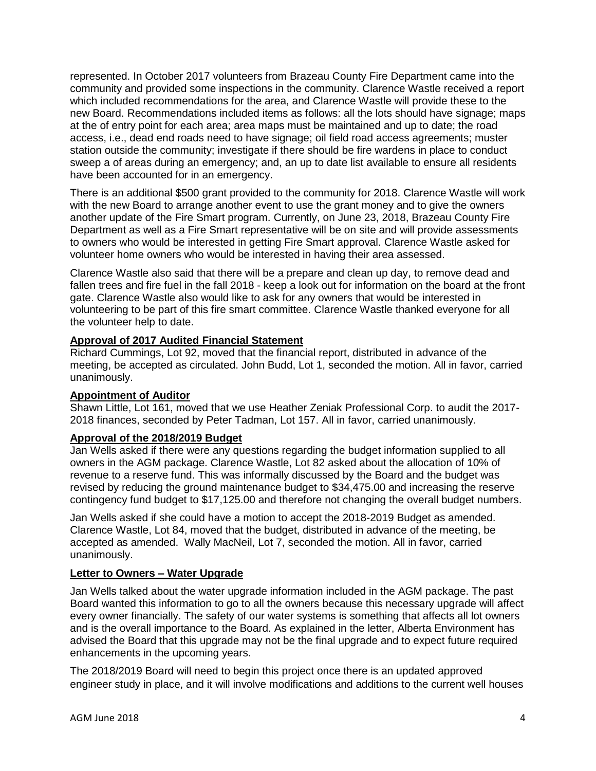represented. In October 2017 volunteers from Brazeau County Fire Department came into the community and provided some inspections in the community. Clarence Wastle received a report which included recommendations for the area, and Clarence Wastle will provide these to the new Board. Recommendations included items as follows: all the lots should have signage; maps at the of entry point for each area; area maps must be maintained and up to date; the road access, i.e., dead end roads need to have signage; oil field road access agreements; muster station outside the community; investigate if there should be fire wardens in place to conduct sweep a of areas during an emergency; and, an up to date list available to ensure all residents have been accounted for in an emergency.

There is an additional \$500 grant provided to the community for 2018. Clarence Wastle will work with the new Board to arrange another event to use the grant money and to give the owners another update of the Fire Smart program. Currently, on June 23, 2018, Brazeau County Fire Department as well as a Fire Smart representative will be on site and will provide assessments to owners who would be interested in getting Fire Smart approval. Clarence Wastle asked for volunteer home owners who would be interested in having their area assessed.

Clarence Wastle also said that there will be a prepare and clean up day, to remove dead and fallen trees and fire fuel in the fall 2018 - keep a look out for information on the board at the front gate. Clarence Wastle also would like to ask for any owners that would be interested in volunteering to be part of this fire smart committee. Clarence Wastle thanked everyone for all the volunteer help to date.

# **Approval of 2017 Audited Financial Statement**

Richard Cummings, Lot 92, moved that the financial report, distributed in advance of the meeting, be accepted as circulated. John Budd, Lot 1, seconded the motion. All in favor, carried unanimously.

# **Appointment of Auditor**

Shawn Little, Lot 161, moved that we use Heather Zeniak Professional Corp. to audit the 2017- 2018 finances, seconded by Peter Tadman, Lot 157. All in favor, carried unanimously.

# **Approval of the 2018/2019 Budget**

Jan Wells asked if there were any questions regarding the budget information supplied to all owners in the AGM package. Clarence Wastle, Lot 82 asked about the allocation of 10% of revenue to a reserve fund. This was informally discussed by the Board and the budget was revised by reducing the ground maintenance budget to \$34,475.00 and increasing the reserve contingency fund budget to \$17,125.00 and therefore not changing the overall budget numbers.

Jan Wells asked if she could have a motion to accept the 2018-2019 Budget as amended. Clarence Wastle, Lot 84, moved that the budget, distributed in advance of the meeting, be accepted as amended. Wally MacNeil, Lot 7, seconded the motion. All in favor, carried unanimously.

# **Letter to Owners – Water Upgrade**

Jan Wells talked about the water upgrade information included in the AGM package. The past Board wanted this information to go to all the owners because this necessary upgrade will affect every owner financially. The safety of our water systems is something that affects all lot owners and is the overall importance to the Board. As explained in the letter, Alberta Environment has advised the Board that this upgrade may not be the final upgrade and to expect future required enhancements in the upcoming years.

The 2018/2019 Board will need to begin this project once there is an updated approved engineer study in place, and it will involve modifications and additions to the current well houses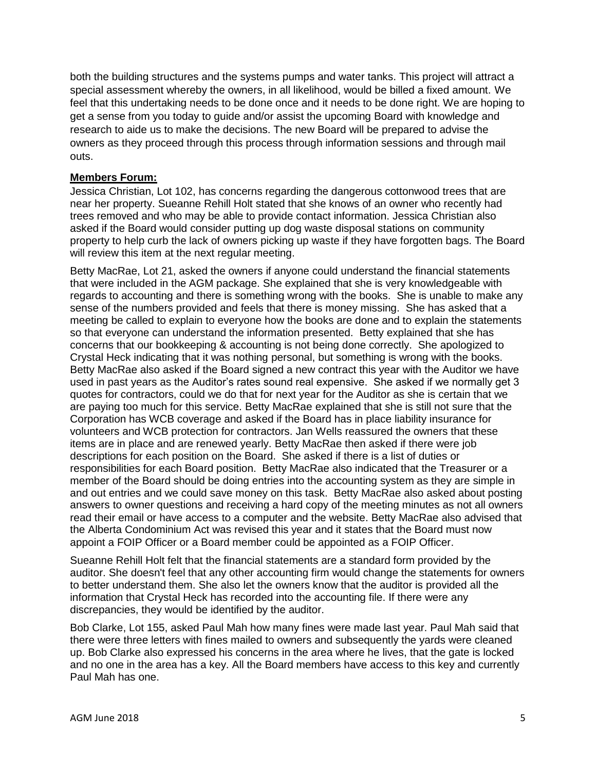both the building structures and the systems pumps and water tanks. This project will attract a special assessment whereby the owners, in all likelihood, would be billed a fixed amount. We feel that this undertaking needs to be done once and it needs to be done right. We are hoping to get a sense from you today to guide and/or assist the upcoming Board with knowledge and research to aide us to make the decisions. The new Board will be prepared to advise the owners as they proceed through this process through information sessions and through mail outs.

#### **Members Forum:**

Jessica Christian, Lot 102, has concerns regarding the dangerous cottonwood trees that are near her property. Sueanne Rehill Holt stated that she knows of an owner who recently had trees removed and who may be able to provide contact information. Jessica Christian also asked if the Board would consider putting up dog waste disposal stations on community property to help curb the lack of owners picking up waste if they have forgotten bags. The Board will review this item at the next regular meeting.

Betty MacRae, Lot 21, asked the owners if anyone could understand the financial statements that were included in the AGM package. She explained that she is very knowledgeable with regards to accounting and there is something wrong with the books. She is unable to make any sense of the numbers provided and feels that there is money missing. She has asked that a meeting be called to explain to everyone how the books are done and to explain the statements so that everyone can understand the information presented. Betty explained that she has concerns that our bookkeeping & accounting is not being done correctly. She apologized to Crystal Heck indicating that it was nothing personal, but something is wrong with the books. Betty MacRae also asked if the Board signed a new contract this year with the Auditor we have used in past years as the Auditor's rates sound real expensive. She asked if we normally get 3 quotes for contractors, could we do that for next year for the Auditor as she is certain that we are paying too much for this service. Betty MacRae explained that she is still not sure that the Corporation has WCB coverage and asked if the Board has in place liability insurance for volunteers and WCB protection for contractors. Jan Wells reassured the owners that these items are in place and are renewed yearly. Betty MacRae then asked if there were job descriptions for each position on the Board. She asked if there is a list of duties or responsibilities for each Board position. Betty MacRae also indicated that the Treasurer or a member of the Board should be doing entries into the accounting system as they are simple in and out entries and we could save money on this task. Betty MacRae also asked about posting answers to owner questions and receiving a hard copy of the meeting minutes as not all owners read their email or have access to a computer and the website. Betty MacRae also advised that the Alberta Condominium Act was revised this year and it states that the Board must now appoint a FOIP Officer or a Board member could be appointed as a FOIP Officer.

Sueanne Rehill Holt felt that the financial statements are a standard form provided by the auditor. She doesn't feel that any other accounting firm would change the statements for owners to better understand them. She also let the owners know that the auditor is provided all the information that Crystal Heck has recorded into the accounting file. If there were any discrepancies, they would be identified by the auditor.

Bob Clarke, Lot 155, asked Paul Mah how many fines were made last year. Paul Mah said that there were three letters with fines mailed to owners and subsequently the yards were cleaned up. Bob Clarke also expressed his concerns in the area where he lives, that the gate is locked and no one in the area has a key. All the Board members have access to this key and currently Paul Mah has one.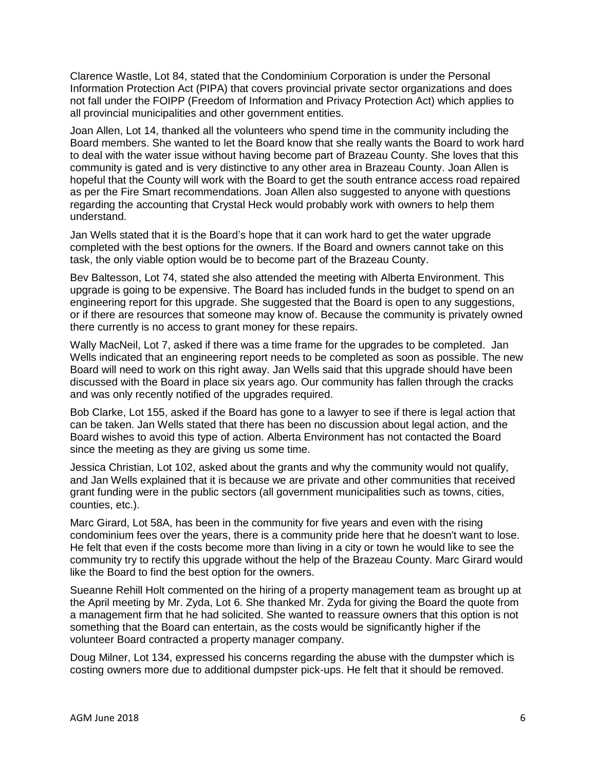Clarence Wastle, Lot 84, stated that the Condominium Corporation is under the Personal Information Protection Act (PIPA) that covers provincial private sector organizations and does not fall under the FOIPP (Freedom of Information and Privacy Protection Act) which applies to all provincial municipalities and other government entities.

Joan Allen, Lot 14, thanked all the volunteers who spend time in the community including the Board members. She wanted to let the Board know that she really wants the Board to work hard to deal with the water issue without having become part of Brazeau County. She loves that this community is gated and is very distinctive to any other area in Brazeau County. Joan Allen is hopeful that the County will work with the Board to get the south entrance access road repaired as per the Fire Smart recommendations. Joan Allen also suggested to anyone with questions regarding the accounting that Crystal Heck would probably work with owners to help them understand.

Jan Wells stated that it is the Board's hope that it can work hard to get the water upgrade completed with the best options for the owners. If the Board and owners cannot take on this task, the only viable option would be to become part of the Brazeau County.

Bev Baltesson, Lot 74, stated she also attended the meeting with Alberta Environment. This upgrade is going to be expensive. The Board has included funds in the budget to spend on an engineering report for this upgrade. She suggested that the Board is open to any suggestions, or if there are resources that someone may know of. Because the community is privately owned there currently is no access to grant money for these repairs.

Wally MacNeil, Lot 7, asked if there was a time frame for the upgrades to be completed. Jan Wells indicated that an engineering report needs to be completed as soon as possible. The new Board will need to work on this right away. Jan Wells said that this upgrade should have been discussed with the Board in place six years ago. Our community has fallen through the cracks and was only recently notified of the upgrades required.

Bob Clarke, Lot 155, asked if the Board has gone to a lawyer to see if there is legal action that can be taken. Jan Wells stated that there has been no discussion about legal action, and the Board wishes to avoid this type of action. Alberta Environment has not contacted the Board since the meeting as they are giving us some time.

Jessica Christian, Lot 102, asked about the grants and why the community would not qualify, and Jan Wells explained that it is because we are private and other communities that received grant funding were in the public sectors (all government municipalities such as towns, cities, counties, etc.).

Marc Girard, Lot 58A, has been in the community for five years and even with the rising condominium fees over the years, there is a community pride here that he doesn't want to lose. He felt that even if the costs become more than living in a city or town he would like to see the community try to rectify this upgrade without the help of the Brazeau County. Marc Girard would like the Board to find the best option for the owners.

Sueanne Rehill Holt commented on the hiring of a property management team as brought up at the April meeting by Mr. Zyda, Lot 6. She thanked Mr. Zyda for giving the Board the quote from a management firm that he had solicited. She wanted to reassure owners that this option is not something that the Board can entertain, as the costs would be significantly higher if the volunteer Board contracted a property manager company.

Doug Milner, Lot 134, expressed his concerns regarding the abuse with the dumpster which is costing owners more due to additional dumpster pick-ups. He felt that it should be removed.